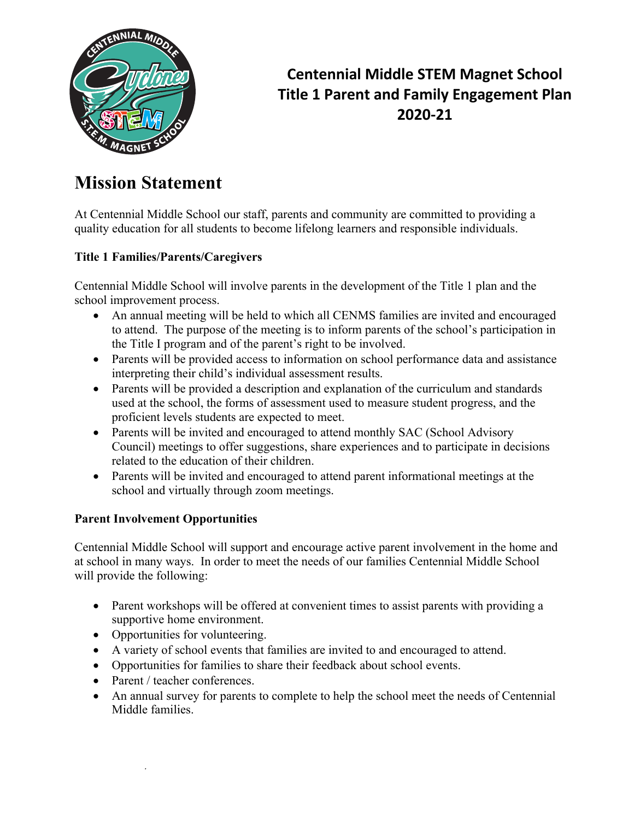

## **Centennial Middle STEM Magnet School Title 1 Parent and Family Engagement Plan 2020-21**

# **Mission Statement**

At Centennial Middle School our staff, parents and community are committed to providing a quality education for all students to become lifelong learners and responsible individuals.

### **Title 1 Families/Parents/Caregivers**

Centennial Middle School will involve parents in the development of the Title 1 plan and the school improvement process.

- An annual meeting will be held to which all CENMS families are invited and encouraged to attend. The purpose of the meeting is to inform parents of the school's participation in the Title I program and of the parent's right to be involved.
- Parents will be provided access to information on school performance data and assistance interpreting their child's individual assessment results.
- Parents will be provided a description and explanation of the curriculum and standards used at the school, the forms of assessment used to measure student progress, and the proficient levels students are expected to meet.
- Parents will be invited and encouraged to attend monthly SAC (School Advisory Council) meetings to offer suggestions, share experiences and to participate in decisions related to the education of their children.
- Parents will be invited and encouraged to attend parent informational meetings at the school and virtually through zoom meetings.

### **Parent Involvement Opportunities**

Centennial Middle School will support and encourage active parent involvement in the home and at school in many ways. In order to meet the needs of our families Centennial Middle School will provide the following:

- Parent workshops will be offered at convenient times to assist parents with providing a supportive home environment.
- Opportunities for volunteering.
- A variety of school events that families are invited to and encouraged to attend.
- Opportunities for families to share their feedback about school events.
- Parent / teacher conferences.
- An annual survey for parents to complete to help the school meet the needs of Centennial Middle families.